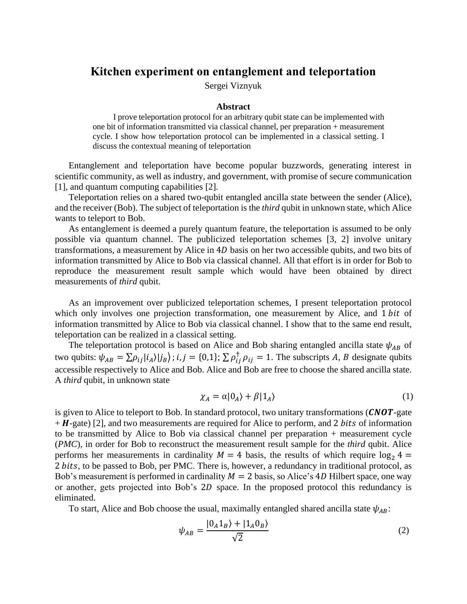## **Kitchen experiment on entanglement and teleportation**

Sergei Viznyuk

## **Abstract**

I prove teleportation protocol for an arbitrary qubit state can be implemented with one bit of information transmitted via classical channel, per preparation + measurement cycle. I show how teleportation protocol can be implemented in a classical setting. I discuss the contextual meaning of teleportation

Entanglement and teleportation have become popular buzzwords, generating interest in scientific community, as well as industry, and government, with promise of secure communication [1], and quantum computing capabilities [2].

Teleportation relies on a shared two-qubit entangled ancilla state between the sender (Alice), and the receiver (Bob). The subject of teleportation is the *third* qubit in unknown state, which Alice wants to teleport to Bob.

As entanglement is deemed a purely quantum feature, the teleportation is assumed to be only possible via quantum channel. The publicized teleportation schemes [3, 2] involve unitary transformations, a measurement by Alice in 4D basis on her two accessible qubits, and two bits of information transmitted by Alice to Bob via classical channel. All that effort is in order for Bob to reproduce the measurement result sample which would have been obtained by direct measurements of *third* qubit.

As an improvement over publicized teleportation schemes, I present teleportation protocol which only involves one projection transformation, one measurement by Alice, and 1 bit of information transmitted by Alice to Bob via classical channel. I show that to the same end result, teleportation can be realized in a classical setting.

The teleportation protocol is based on Alice and Bob sharing entangled ancilla state  $\psi_{AB}$  of two qubits:  $\psi_{AB} = \sum \rho_{ij} |i_A\rangle |j_B\rangle$ ;  $i, j = \{0,1\}$ ;  $\sum \rho_{ij}^{\dagger} \rho_{ij} = 1$ . The subscripts A, B designate qubits accessible respectively to Alice and Bob. Alice and Bob are free to choose the shared ancilla state. A *third* qubit, in unknown state

$$
\chi_A = \alpha |0_A\rangle + \beta |1_A\rangle \tag{1}
$$

is given to Alice to teleport to Bob. In standard protocol, two unitary transformations  $(CNOT$ -gate  $+ H$ -gate) [2], and two measurements are required for Alice to perform, and 2 *bits* of information to be transmitted by Alice to Bob via classical channel per preparation + measurement cycle (*PMC*), in order for Bob to reconstruct the measurement result sample for the *third* qubit. Alice performs her measurements in cardinality  $M = 4$  basis, the results of which require  $\log_2 4 =$ 2 bits, to be passed to Bob, per PMC. There is, however, a redundancy in traditional protocol, as Bob's measurement is performed in cardinality  $M = 2$  basis, so Alice's 4D Hilbert space, one way or another, gets projected into Bob's 2D space. In the proposed protocol this redundancy is eliminated.

To start, Alice and Bob choose the usual, maximally entangled shared ancilla state  $\psi_{AB}$ :

$$
\psi_{AB} = \frac{|0_A 1_B\rangle + |1_A 0_B\rangle}{\sqrt{2}}
$$
\n(2)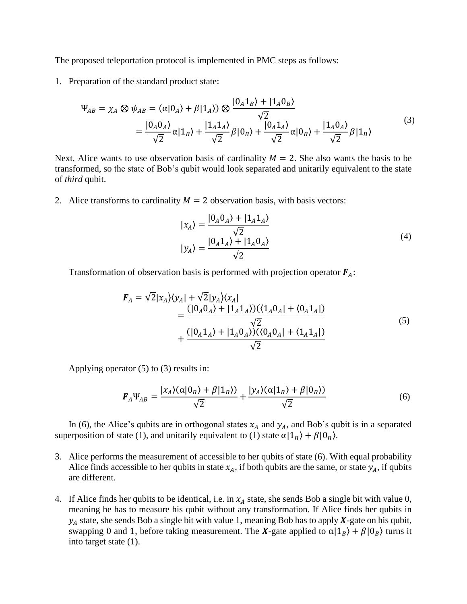The proposed teleportation protocol is implemented in PMC steps as follows:

1. Preparation of the standard product state:

$$
\Psi_{AB} = \chi_A \otimes \psi_{AB} = (\alpha|0_A\rangle + \beta|1_A\rangle) \otimes \frac{|0_A1_B\rangle + |1_A0_B\rangle}{\sqrt{2}}
$$
  
= 
$$
\frac{|0_A0_A\rangle}{\sqrt{2}} \alpha|1_B\rangle + \frac{|1_A1_A\rangle}{\sqrt{2}} \beta|0_B\rangle + \frac{|0_A1_A\rangle}{\sqrt{2}} \alpha|0_B\rangle + \frac{|1_A0_A\rangle}{\sqrt{2}} \beta|1_B\rangle
$$
 (3)

Next, Alice wants to use observation basis of cardinality  $M = 2$ . She also wants the basis to be transformed, so the state of Bob's qubit would look separated and unitarily equivalent to the state of *third* qubit.

2. Alice transforms to cardinality  $M = 2$  observation basis, with basis vectors:

$$
|x_A\rangle = \frac{|0_A 0_A\rangle + |1_A 1_A\rangle}{\sqrt{2}}
$$
  

$$
|y_A\rangle = \frac{|0_A 1_A\rangle + |1_A 0_A\rangle}{\sqrt{2}}
$$
 (4)

Transformation of observation basis is performed with projection operator  $F_A$ :

$$
F_A = \sqrt{2}|x_A\rangle\langle y_A| + \sqrt{2}|y_A\rangle\langle x_A|
$$
  
= 
$$
\frac{(|0_A 0_A\rangle + |1_A 1_A\rangle)(\langle 1_A 0_A| + \langle 0_A 1_A|)}{\sqrt{2}}
$$
  
+ 
$$
\frac{(|0_A 1_A\rangle + |1_A 0_A\rangle)(\langle 0_A 0_A| + \langle 1_A 1_A|)}{\sqrt{2}}
$$
 (5)

Applying operator (5) to (3) results in:

$$
\boldsymbol{F}_A \Psi_{AB} = \frac{|x_A\rangle(\alpha|0_B\rangle + \beta|1_B\rangle)}{\sqrt{2}} + \frac{|y_A\rangle(\alpha|1_B\rangle + \beta|0_B\rangle)}{\sqrt{2}}
$$
(6)

In (6), the Alice's qubits are in orthogonal states  $x_A$  and  $y_A$ , and Bob's qubit is in a separated superposition of state (1), and unitarily equivalent to (1) state  $\alpha | 1_B \rangle + \beta | 0_B \rangle$ .

- 3. Alice performs the measurement of accessible to her qubits of state (6). With equal probability Alice finds accessible to her qubits in state  $x_A$ , if both qubits are the same, or state  $y_A$ , if qubits are different.
- 4. If Alice finds her qubits to be identical, i.e. in  $x_A$  state, she sends Bob a single bit with value 0, meaning he has to measure his qubit without any transformation. If Alice finds her qubits in  $y_A$  state, she sends Bob a single bit with value 1, meaning Bob has to apply  $X$ -gate on his qubit, swapping 0 and 1, before taking measurement. The X-gate applied to  $\alpha | 1<sub>B</sub> \rangle + \beta | 0<sub>B</sub> \rangle$  turns it into target state (1).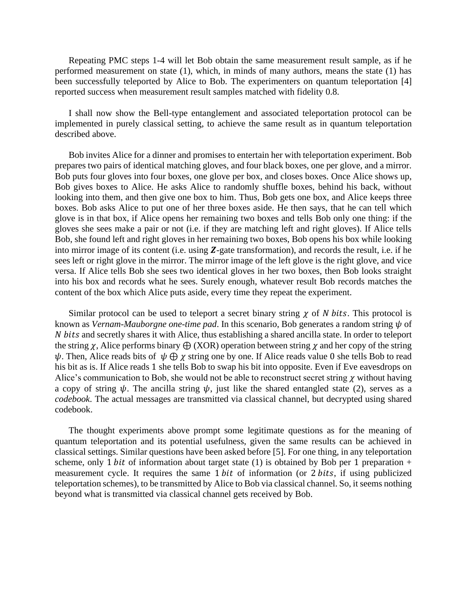Repeating PMC steps 1-4 will let Bob obtain the same measurement result sample, as if he performed measurement on state (1), which, in minds of many authors, means the state (1) has been successfully teleported by Alice to Bob. The experimenters on quantum teleportation [4] reported success when measurement result samples matched with fidelity 0.8.

I shall now show the Bell-type entanglement and associated teleportation protocol can be implemented in purely classical setting, to achieve the same result as in quantum teleportation described above.

Bob invites Alice for a dinner and promises to entertain her with teleportation experiment. Bob prepares two pairs of identical matching gloves, and four black boxes, one per glove, and a mirror. Bob puts four gloves into four boxes, one glove per box, and closes boxes. Once Alice shows up, Bob gives boxes to Alice. He asks Alice to randomly shuffle boxes, behind his back, without looking into them, and then give one box to him. Thus, Bob gets one box, and Alice keeps three boxes. Bob asks Alice to put one of her three boxes aside. He then says, that he can tell which glove is in that box, if Alice opens her remaining two boxes and tells Bob only one thing: if the gloves she sees make a pair or not (i.e. if they are matching left and right gloves). If Alice tells Bob, she found left and right gloves in her remaining two boxes, Bob opens his box while looking into mirror image of its content (i.e. using  $\mathbf{Z}$ -gate transformation), and records the result, i.e. if he sees left or right glove in the mirror. The mirror image of the left glove is the right glove, and vice versa. If Alice tells Bob she sees two identical gloves in her two boxes, then Bob looks straight into his box and records what he sees. Surely enough, whatever result Bob records matches the content of the box which Alice puts aside, every time they repeat the experiment.

Similar protocol can be used to teleport a secret binary string  $\chi$  of N bits. This protocol is known as *Vernam-Mauborgne one-time pad*. In this scenario, Bob generates a random string  $\psi$  of and secretly shares it with Alice, thus establishing a shared ancilla state. In order to teleport the string  $\chi$ , Alice performs binary  $\bigoplus$  (XOR) operation between string  $\chi$  and her copy of the string  $\psi$ . Then, Alice reads bits of  $\psi \oplus \chi$  string one by one. If Alice reads value 0 she tells Bob to read his bit as is. If Alice reads 1 she tells Bob to swap his bit into opposite. Even if Eve eavesdrops on Alice's communication to Bob, she would not be able to reconstruct secret string  $\chi$  without having a copy of string  $\psi$ . The ancilla string  $\psi$ , just like the shared entangled state (2), serves as a *codebook*. The actual messages are transmitted via classical channel, but decrypted using shared codebook.

The thought experiments above prompt some legitimate questions as for the meaning of quantum teleportation and its potential usefulness, given the same results can be achieved in classical settings. Similar questions have been asked before [5]. For one thing, in any teleportation scheme, only 1 *bit* of information about target state (1) is obtained by Bob per 1 preparation + measurement cycle. It requires the same  $1 bit$  of information (or  $2 bits$ , if using publicized teleportation schemes), to be transmitted by Alice to Bob via classical channel. So, it seems nothing beyond what is transmitted via classical channel gets received by Bob.